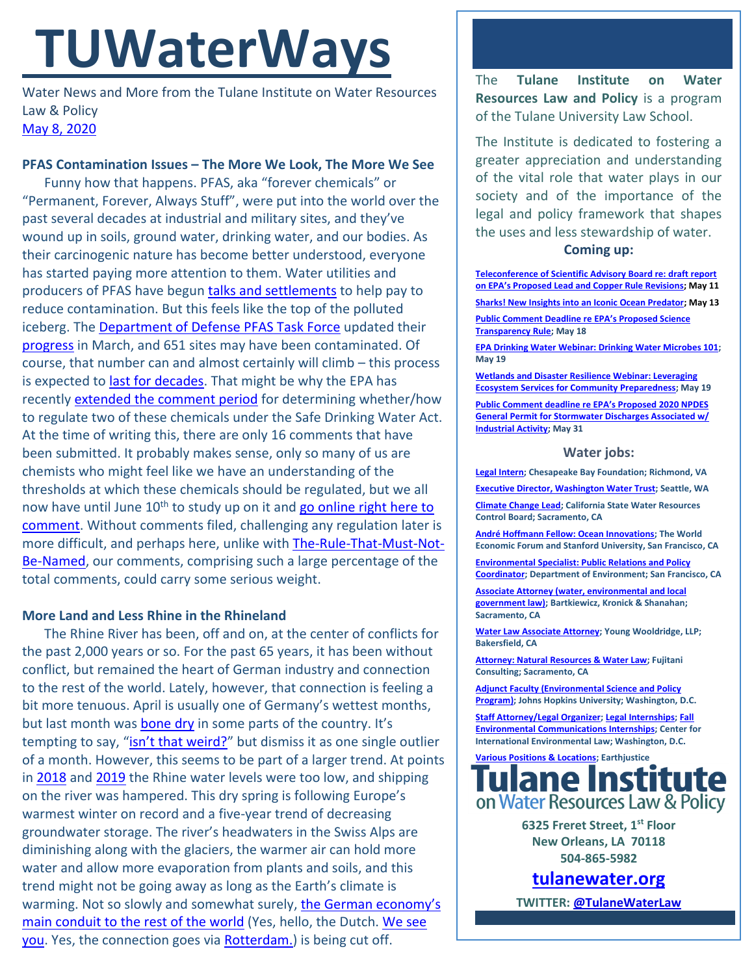# **TUWaterWays**

Water News and More from the Tulane Institute on Water Resources Law & Policy [May 8,](https://thisdayinwaterhistory.wordpress.com/) 2020

## **PFAS Contamination Issues – The More We Look, The More We See**

Funny how that happens. PFAS, aka "forever chemicals" or "Permanent, Forever, Always Stuff", were put into the world over the past several decades at industrial and military sites, and they've wound up in soils, ground water, drinking water, and our bodies. As their carcinogenic nature has become better understood, everyone has started paying more attention to them. Water utilities and producers of PFAS have begun talks [and settlements](https://www.wateronline.com/doc/across-the-country-polluters-forced-to-pay-out-for-pfas-contamination-0001) to help pay to reduce contamination. But this feels like the top of the polluted iceberg. The [Department of Defense PFAS Task Force](https://www.defense.gov/Explore/Spotlight/pfas/) updated their [progress](https://media.defense.gov/2020/Mar/13/2002264440/-1/-1/1/PFAS_Task_Force_Progress_Report_March_2020.pdf) in March, and 651 sites may have been contaminated. Of course, that number can and almost certainly will climb – this process is expected to [last for decades.](https://thehill.com/policy/energy-environment/488723-pentagon-cleanup-of-toxic-forever-chemicals-likely-to-last-decades) That might be why the EPA has recently [extended the comment period](https://www.mondaq.com/unitedstates/environmental-law/929200/environmental-protection-agency-extends-pfoapfos-comment-deadline-to-june-10-2020) for determining whether/how to regulate two of these chemicals under the Safe Drinking Water Act. At the time of writing this, there are only 16 comments that have been submitted. It probably makes sense, only so many of us are chemists who might feel like we have an understanding of the thresholds at which these chemicals should be regulated, but we all now have until June 10<sup>th</sup> to study up on it and go online right here to [comment.](https://www.regulations.gov/docket?D=EPA-HQ-OW-2019-0583) Without comments filed, challenging any regulation later is more difficult, and perhaps here, unlike with [The-Rule-That-Must-Not-](https://www.eli.org/tags/wotus)[Be-Named,](https://www.eli.org/tags/wotus) our comments, comprising such a large percentage of the total comments, could carry some serious weight.

## **More Land and Less Rhine in the Rhineland**

The Rhine River has been, off and on, at the center of conflicts for the past 2,000 years or so. For the past 65 years, it has been without conflict, but remained the heart of German industry and connection to the rest of the world. Lately, however, that connection is feeling a bit more tenuous. April is usually one of Germany's wettest months, but last month was **bone dry** in some parts of the country. It's tempting to say, ["isn't that weird?"](https://getyarn.io/yarn-clip/ade3209f-c59a-4341-8de1-69ebca4fd886) but dismiss it as one single outlier of a month. However, this seems to be part of a larger trend. At points in [2018](https://www.nytimes.com/2018/11/04/world/europe/rhine-drought-water-level.html) and [2019](https://www.cnbc.com/2019/07/31/low-water-levels-in-the-river-rhine-could-create-havoc-for-germanys-economy.html) the Rhine water levels were too low, and shipping on the river was hampered. This dry spring is following Europe's warmest winter on record and a five-year trend of decreasing groundwater storage. The river's headwaters in the Swiss Alps are diminishing along with the glaciers, the warmer air can hold more water and allow more evaporation from plants and soils, and this trend might not be going away as long as the Earth's climate is warming. Not so slowly and somewhat surely, the German economy's [main conduit to the rest of the world](https://www.insurancejournal.com/news/international/2020/04/28/566568.htm) (Yes, hello, the Dutch. [We see](https://www.youtube.com/watch?v=_6VeZAZdff0)  [you.](https://www.youtube.com/watch?v=_6VeZAZdff0) Yes, the connection goes via [Rotterdam.](https://portofrotterdam.maps.arcgis.com/apps/webappviewer/index.html?id=19a593c767cc4142a4ef07ac3fa7fbd8)) is being cut off.

The **Tulane Institute on Water Resources Law and Policy** is a program of the Tulane University Law School.

The Institute is dedicated to fostering a greater appreciation and understanding of the vital role that water plays in our society and of the importance of the legal and policy framework that shapes the uses and less stewardship of water.

#### **Coming up:**

**[Teleconference of Scientific Advisory Board re: draft report](https://yosemite.epa.gov/sab/sabproduct.nsf/MeetingCalBOARD/3E311AC029AB1878852585130053B489?OpenDocument)  [on EPA's Proposed Lead and Copper Rule Revisions](https://yosemite.epa.gov/sab/sabproduct.nsf/MeetingCalBOARD/3E311AC029AB1878852585130053B489?OpenDocument); May 11 [Sharks! New Insights into an Iconic Ocean Predator;](https://www.whoi.edu/ocean-encounters/) May 13 [Public Comment Deadline r](https://www.epa.gov/newsreleases/epa-announces-extended-comment-period-supplement-science-transparency-proposed-rule)e EPA's Proposed Science [Transparency Rule;](https://www.epa.gov/newsreleases/epa-announces-extended-comment-period-supplement-science-transparency-proposed-rule) May 18**

**[EPA Drinking Water Webinar: Drinking Water Microbes 101;](https://www.epa.gov/water-research/small-systems-monthly-webinar-series)  May 19**

**[Wetlands and Disaster Resilience Webinar: Leveraging](https://www.eli.org/events/wetlands-and-disaster-resilience-leveraging-ecosystem-services-community-preparedness)  [Ecosystem Services for Community Preparedness;](https://www.eli.org/events/wetlands-and-disaster-resilience-leveraging-ecosystem-services-community-preparedness) May 19**

**[Public Comment deadline re EPA's Proposed 2020 NPDES](https://www.regulations.gov/docket?D=EPA-HQ-OW-2019-0372)  [General Permit for Stormwater Discharges Associated w/](https://www.regulations.gov/docket?D=EPA-HQ-OW-2019-0372)  [Industrial Activity;](https://www.regulations.gov/docket?D=EPA-HQ-OW-2019-0372) May 31**

#### **Water jobs:**

**[Legal Intern;](https://www.indeed.com/viewjob?from=web,iaBackPress&jk=419b11caecfcbdf4&q=%22watershed%22&tk=1e6rbsvls0gb2000&vjs=3) Chesapeake Bay Foundation; Richmond, VA**

**[Executive Director, Washington Water Trust;](http://www.washingtonwatertrust.org/job-opportunities) Seattle, WA**

**[Climate Change Lead;](https://jobs.ca.gov/CalHrPublic/Jobs/JobPosting.aspx?JobControlId=200954) California State Water Resources Control Board; Sacramento, CA**

**[André Hoffmann Fellow: Ocean Innovations;](https://oceansolutions.stanford.edu/stories-events/new-position-andr-hoffmann-fellow-ocean-innovations-0) The World Economic Forum and Stanford University, San Francisco, CA**

**[Environmental Specialist: Public Relations and Policy](https://www.jobapscloud.com/SF/sup/bulpreview.asp?R1=PBT&R2=5640&R3=101068)  [Coordinator;](https://www.jobapscloud.com/SF/sup/bulpreview.asp?R1=PBT&R2=5640&R3=101068) Department of Environment; San Francisco, CA**

**[Associate Attorney \(water, environmental and local](https://www.linkedin.com/jobs/view/1840276271/?alternateChannel=paview)  [government law\);](https://www.linkedin.com/jobs/view/1840276271/?alternateChannel=paview) Bartkiewicz, Kronick & Shanahan; Sacramento, CA**

**[Water Law Associate Attorney;](https://www.linkedin.com/jobs/view/1714938195/?eBP=JOB_SEARCH_ORGANIC&recommendedFlavor=JOB_SEEKER_QUALIFIED&refId=47704177-87af-4e9f-9f56-8f5b6c606db2&trk=d_flagship3_search_srp_jobs) Young Wooldridge, LLP; Bakersfield, CA**

**[Attorney: Natural Resources & Water Law;](https://www.linkedin.com/jobs/view/1829166085/?eBP=JOB_SEARCH_ORGANIC&recommendedFlavor=JOB_SEEKER_QUALIFIED&refId=f1b215ee-53e7-485c-bc62-938c4ff7e9f8&trk=d_flagship3_search_srp_jobs) Fujitani Consulting; Sacramento, CA**

**[Adjunct Faculty \(Environmental Science and Policy](https://apply.interfolio.com/57581)  [Program\);](https://apply.interfolio.com/57581) Johns Hopkins University; Washington, D.C.**

**[Staff Attorney/Legal Organizer;](https://www.ciel.org/about-us/environmental-jobs/vacancy-announcement-staff-attorney-and-legal-organizer-climate-energy-program/) [Legal Internships;](https://www.ciel.org/about-us/environmental-jobs/) [Fall](https://www.ciel.org/about-us/environmental-communications-internship/)  [Environmental Communications Internships;](https://www.ciel.org/about-us/environmental-communications-internship/) Center for International Environmental Law; Washington, D.C.**



**6325 Freret Street, 1st Floor New Orleans, LA 70118 504-865-5982**

**[tulanewater.org](file:///C:/Users/waterlaw/Downloads/tulanewater.org)**

**TWITTER[: @TulaneWaterLaw](http://www.twitter.com/TulaneWaterLaw)**